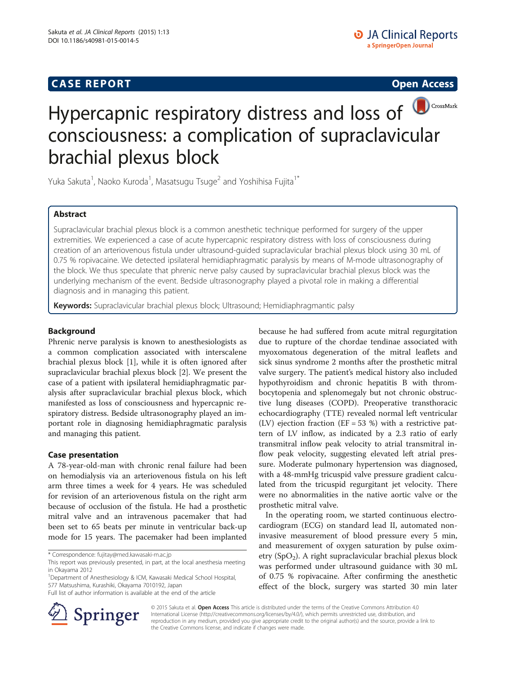## **CASE REPORT CASE REPORT CASE REPORT**



# Hypercapnic respiratory distress and loss of consciousness: a complication of supraclavicular brachial plexus block

Yuka Sakuta<sup>1</sup>, Naoko Kuroda<sup>1</sup>, Masatsugu Tsuge<sup>2</sup> and Yoshihisa Fujita<sup>1\*</sup>

## Abstract

Supraclavicular brachial plexus block is a common anesthetic technique performed for surgery of the upper extremities. We experienced a case of acute hypercapnic respiratory distress with loss of consciousness during creation of an arteriovenous fistula under ultrasound-guided supraclavicular brachial plexus block using 30 mL of 0.75 % ropivacaine. We detected ipsilateral hemidiaphragmatic paralysis by means of M-mode ultrasonography of the block. We thus speculate that phrenic nerve palsy caused by supraclavicular brachial plexus block was the underlying mechanism of the event. Bedside ultrasonography played a pivotal role in making a differential diagnosis and in managing this patient.

Keywords: Supraclavicular brachial plexus block; Ultrasound; Hemidiaphragmantic palsy

## Background

Phrenic nerve paralysis is known to anesthesiologists as a common complication associated with interscalene brachial plexus block [\[1](#page-4-0)], while it is often ignored after supraclavicular brachial plexus block [[2\]](#page-4-0). We present the case of a patient with ipsilateral hemidiaphragmatic paralysis after supraclavicular brachial plexus block, which manifested as loss of consciousness and hypercapnic respiratory distress. Bedside ultrasonography played an important role in diagnosing hemidiaphragmatic paralysis and managing this patient.

## Case presentation

A 78-year-old-man with chronic renal failure had been on hemodialysis via an arteriovenous fistula on his left arm three times a week for 4 years. He was scheduled for revision of an arteriovenous fistula on the right arm because of occlusion of the fistula. He had a prosthetic mitral valve and an intravenous pacemaker that had been set to 65 beats per minute in ventricular back-up mode for 15 years. The pacemaker had been implanted

because he had suffered from acute mitral regurgitation due to rupture of the chordae tendinae associated with myoxomatous degeneration of the mitral leaflets and sick sinus syndrome 2 months after the prosthetic mitral valve surgery. The patient's medical history also included hypothyroidism and chronic hepatitis B with thrombocytopenia and splenomegaly but not chronic obstructive lung diseases (COPD). Preoperative transthoracic echocardiography (TTE) revealed normal left ventricular (LV) ejection fraction (EF = 53 %) with a restrictive pattern of LV inflow, as indicated by a 2.3 ratio of early transmitral inflow peak velocity to atrial transmitral inflow peak velocity, suggesting elevated left atrial pressure. Moderate pulmonary hypertension was diagnosed, with a 48-mmHg tricuspid valve pressure gradient calculated from the tricuspid regurgitant jet velocity. There were no abnormalities in the native aortic valve or the prosthetic mitral valve.

In the operating room, we started continuous electrocardiogram (ECG) on standard lead II, automated noninvasive measurement of blood pressure every 5 min, and measurement of oxygen saturation by pulse oximetry  $(SpO<sub>2</sub>)$ . A right supraclavicular brachial plexus block was performed under ultrasound guidance with 30 mL of 0.75 % ropivacaine. After confirming the anesthetic effect of the block, surgery was started 30 min later



© 2015 Sakuta et al. Open Access This article is distributed under the terms of the Creative Commons Attribution 4.0 International License ([http://creativecommons.org/licenses/by/4.0/\)](http://creativecommons.org/licenses/by/4.0/), which permits unrestricted use, distribution, and reproduction in any medium, provided you give appropriate credit to the original author(s) and the source, provide a link to the Creative Commons license, and indicate if changes were made.

<sup>\*</sup> Correspondence: [fujitay@med.kawasaki-m.ac.jp](mailto:fujitay@med.kawasaki-m.ac.jp)

This report was previously presented, in part, at the local anesthesia meeting in Okayama 2012

<sup>1</sup> Department of Anesthesiology & ICM, Kawasaki Medical School Hospital, 577 Matsushima, Kurashiki, Okayama 7010192, Japan

Full list of author information is available at the end of the article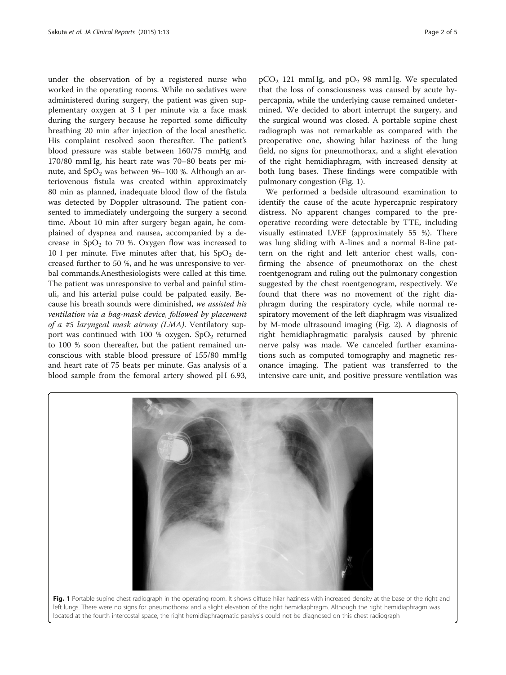under the observation of by a registered nurse who worked in the operating rooms. While no sedatives were administered during surgery, the patient was given supplementary oxygen at 3 l per minute via a face mask during the surgery because he reported some difficulty breathing 20 min after injection of the local anesthetic. His complaint resolved soon thereafter. The patient's blood pressure was stable between 160/75 mmHg and 170/80 mmHg, his heart rate was 70–80 beats per minute, and  $SpO<sub>2</sub>$  was between 96–100 %. Although an arteriovenous fistula was created within approximately 80 min as planned, inadequate blood flow of the fistula was detected by Doppler ultrasound. The patient consented to immediately undergoing the surgery a second time. About 10 min after surgery began again, he complained of dyspnea and nausea, accompanied by a decrease in  $SpO<sub>2</sub>$  to 70 %. Oxygen flow was increased to 10 l per minute. Five minutes after that, his  $SpO<sub>2</sub>$  decreased further to 50 %, and he was unresponsive to verbal commands.Anesthesiologists were called at this time. The patient was unresponsive to verbal and painful stimuli, and his arterial pulse could be palpated easily. Because his breath sounds were diminished, we assisted his ventilation via a bag-mask device, followed by placement of a #5 laryngeal mask airway (LMA). Ventilatory support was continued with 100 % oxygen.  $SpO<sub>2</sub>$  returned to 100 % soon thereafter, but the patient remained unconscious with stable blood pressure of 155/80 mmHg and heart rate of 75 beats per minute. Gas analysis of a blood sample from the femoral artery showed pH 6.93,

 $pCO<sub>2</sub>$  121 mmHg, and  $pO<sub>2</sub>$  98 mmHg. We speculated that the loss of consciousness was caused by acute hypercapnia, while the underlying cause remained undetermined. We decided to abort interrupt the surgery, and the surgical wound was closed. A portable supine chest radiograph was not remarkable as compared with the preoperative one, showing hilar haziness of the lung field, no signs for pneumothorax, and a slight elevation of the right hemidiaphragm, with increased density at both lung bases. These findings were compatible with pulmonary congestion (Fig. 1).

We performed a bedside ultrasound examination to identify the cause of the acute hypercapnic respiratory distress. No apparent changes compared to the preoperative recording were detectable by TTE, including visually estimated LVEF (approximately 55 %). There was lung sliding with A-lines and a normal B-line pattern on the right and left anterior chest walls, confirming the absence of pneumothorax on the chest roentgenogram and ruling out the pulmonary congestion suggested by the chest roentgenogram, respectively. We found that there was no movement of the right diaphragm during the respiratory cycle, while normal respiratory movement of the left diaphragm was visualized by M-mode ultrasound imaging (Fig. [2\)](#page-2-0). A diagnosis of right hemidiaphragmatic paralysis caused by phrenic nerve palsy was made. We canceled further examinations such as computed tomography and magnetic resonance imaging. The patient was transferred to the intensive care unit, and positive pressure ventilation was

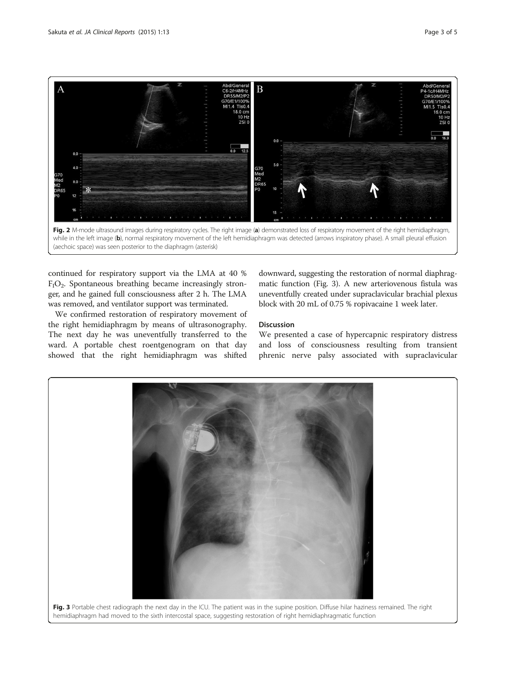<span id="page-2-0"></span>

continued for respiratory support via the LMA at 40 %  $F_1O_2$ . Spontaneous breathing became increasingly stronger, and he gained full consciousness after 2 h. The LMA was removed, and ventilator support was terminated.

We confirmed restoration of respiratory movement of the right hemidiaphragm by means of ultrasonography. The next day he was uneventfully transferred to the ward. A portable chest roentgenogram on that day showed that the right hemidiaphragm was shifted

downward, suggesting the restoration of normal diaphragmatic function (Fig. 3). A new arteriovenous fistula was uneventfully created under supraclavicular brachial plexus block with 20 mL of 0.75 % ropivacaine 1 week later.

### Discussion

We presented a case of hypercapnic respiratory distress and loss of consciousness resulting from transient phrenic nerve palsy associated with supraclavicular

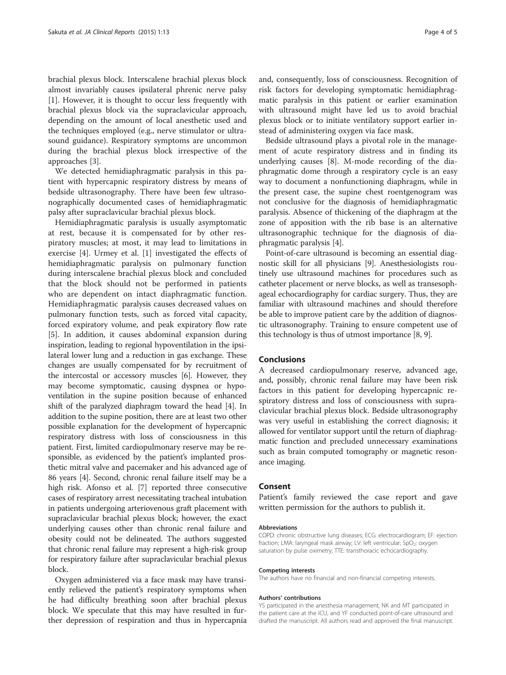brachial plexus block. Interscalene brachial plexus block almost invariably causes ipsilateral phrenic nerve palsy [[1\]](#page-4-0). However, it is thought to occur less frequently with brachial plexus block via the supraclavicular approach, depending on the amount of local anesthetic used and the techniques employed (e.g., nerve stimulator or ultrasound guidance). Respiratory symptoms are uncommon during the brachial plexus block irrespective of the approaches [[3\]](#page-4-0).

We detected hemidiaphragmatic paralysis in this patient with hypercapnic respiratory distress by means of bedside ultrasonography. There have been few ultrasonographically documented cases of hemidiaphragmatic palsy after supraclavicular brachial plexus block.

Hemidiaphragmatic paralysis is usually asymptomatic at rest, because it is compensated for by other respiratory muscles; at most, it may lead to limitations in exercise [\[4](#page-4-0)]. Urmey et al. [[1\]](#page-4-0) investigated the effects of hemidiaphragmatic paralysis on pulmonary function during interscalene brachial plexus block and concluded that the block should not be performed in patients who are dependent on intact diaphragmatic function. Hemidiaphragmatic paralysis causes decreased values on pulmonary function tests, such as forced vital capacity, forced expiratory volume, and peak expiratory flow rate [[5\]](#page-4-0). In addition, it causes abdominal expansion during inspiration, leading to regional hypoventilation in the ipsilateral lower lung and a reduction in gas exchange. These changes are usually compensated for by recruitment of the intercostal or accessory muscles [\[6](#page-4-0)]. However, they may become symptomatic, causing dyspnea or hypoventilation in the supine position because of enhanced shift of the paralyzed diaphragm toward the head [\[4](#page-4-0)]. In addition to the supine position, there are at least two other possible explanation for the development of hypercapnic respiratory distress with loss of consciousness in this patient. First, limited cardiopulmonary reserve may be responsible, as evidenced by the patient's implanted prosthetic mitral valve and pacemaker and his advanced age of 86 years [[4](#page-4-0)]. Second, chronic renal failure itself may be a high risk. Afonso et al. [\[7](#page-4-0)] reported three consecutive cases of respiratory arrest necessitating tracheal intubation in patients undergoing arteriovenous graft placement with supraclavicular brachial plexus block; however, the exact underlying causes other than chronic renal failure and obesity could not be delineated. The authors suggested that chronic renal failure may represent a high-risk group for respiratory failure after supraclavicular brachial plexus block.

Oxygen administered via a face mask may have transiently relieved the patient's respiratory symptoms when he had difficulty breathing soon after brachial plexus block. We speculate that this may have resulted in further depression of respiration and thus in hypercapnia and, consequently, loss of consciousness. Recognition of risk factors for developing symptomatic hemidiaphragmatic paralysis in this patient or earlier examination with ultrasound might have led us to avoid brachial plexus block or to initiate ventilatory support earlier instead of administering oxygen via face mask.

Bedside ultrasound plays a pivotal role in the management of acute respiratory distress and in finding its underlying causes [[8\]](#page-4-0). M-mode recording of the diaphragmatic dome through a respiratory cycle is an easy way to document a nonfunctioning diaphragm, while in the present case, the supine chest roentgenogram was not conclusive for the diagnosis of hemidiaphragmatic paralysis. Absence of thickening of the diaphragm at the zone of apposition with the rib base is an alternative ultrasonographic technique for the diagnosis of diaphragmatic paralysis [[4](#page-4-0)].

Point-of-care ultrasound is becoming an essential diagnostic skill for all physicians [[9](#page-4-0)]. Anesthesiologists routinely use ultrasound machines for procedures such as catheter placement or nerve blocks, as well as transesophageal echocardiography for cardiac surgery. Thus, they are familiar with ultrasound machines and should therefore be able to improve patient care by the addition of diagnostic ultrasonography. Training to ensure competent use of this technology is thus of utmost importance [[8](#page-4-0), [9](#page-4-0)].

## Conclusions

A decreased cardiopulmonary reserve, advanced age, and, possibly, chronic renal failure may have been risk factors in this patient for developing hypercapnic respiratory distress and loss of consciousness with supraclavicular brachial plexus block. Bedside ultrasonography was very useful in establishing the correct diagnosis; it allowed for ventilator support until the return of diaphragmatic function and precluded unnecessary examinations such as brain computed tomography or magnetic resonance imaging.

## Consent

Patient's family reviewed the case report and gave written permission for the authors to publish it.

#### Abbreviations

COPD: chronic obstructive lung diseases; ECG: electrocardiogram; EF: ejection fraction; LMA: laryngeal mask airway; LV: left ventricular; SpO<sub>2</sub>: oxygen saturation by pulse oximetry; TTE: transthoracic echocardiography.

#### Competing interests

The authors have no financial and non-financial competing interests.

#### Authors' contributions

YS participated in the anesthesia management, NK and MT participated in the patient care at the ICU, and YF conducted point-of-care ultrasound and drafted the manuscript. All authors read and approved the final manuscript.